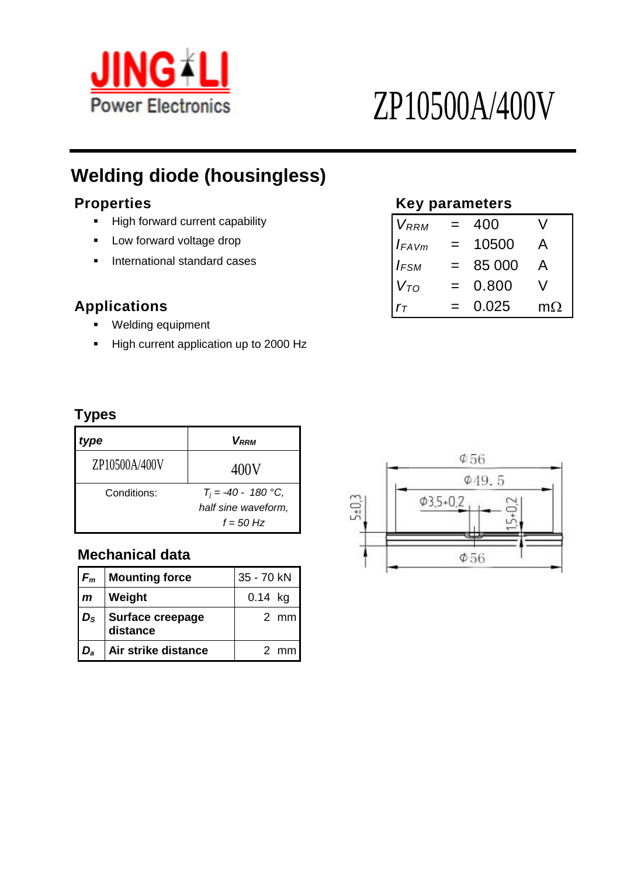

# ZP10500A/400V

## **Welding diode (housingless)**

- **High forward current capability**
- **F** Low forward voltage drop
- **F** International standard cases

#### $Applications$

- **•** Welding equipment
- High current application up to 2000 Hz

### **Properties Key parameters**

| <b>V</b> RRM      |     | 400    |           |
|-------------------|-----|--------|-----------|
| $I_{FAVm}$        |     | 10500  | A         |
| $I_{FSM}$         |     | 85 000 | A         |
| $V_{TO}$          | $=$ | 0.800  | V         |
| $r_{\mathcal{T}}$ |     | 0.025  | $m\Omega$ |

#### **Types**

| /pe           | V <sub>RRM</sub>      |
|---------------|-----------------------|
| ZP10500A/400V | 400V                  |
| Conditions:   | $T_i = -40 - 180$ °C, |
|               | half sine waveform,   |
|               | $f = 50$ Hz           |

#### **Mechanical data**

| $F_m$        | <b>Mounting force</b>        | 35 - 70 kN |                |
|--------------|------------------------------|------------|----------------|
| $\mathsf{m}$ | Weight                       | $0.14$ kg  |                |
| $D_{\rm S}$  | Surface creepage<br>distance |            | $2 \,$ mm      |
| $D_{a}$      | Air strike distance          |            | $2 \text{ mm}$ |

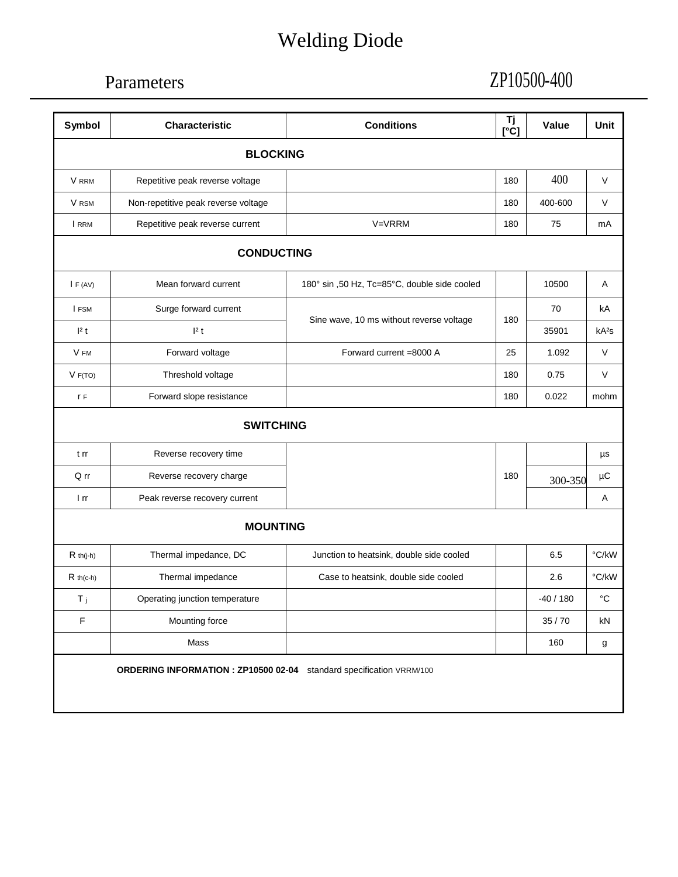## Welding Diode

## Parameters

## ZP10500-400

| <b>BLOCKING</b><br>Repetitive peak reverse voltage<br>Non-repetitive peak reverse voltage<br>Repetitive peak reverse current<br><b>CONDUCTING</b><br>Mean forward current<br>Surge forward current | V=VRRM<br>180° sin ,50 Hz, Tc=85°C, double side cooled<br>Sine wave, 10 ms without reverse voltage | 180<br>180<br>180 | 400<br>400-600<br>75<br>10500 | $\vee$<br>V<br>mA                                                    |
|----------------------------------------------------------------------------------------------------------------------------------------------------------------------------------------------------|----------------------------------------------------------------------------------------------------|-------------------|-------------------------------|----------------------------------------------------------------------|
|                                                                                                                                                                                                    |                                                                                                    |                   |                               |                                                                      |
|                                                                                                                                                                                                    |                                                                                                    |                   |                               |                                                                      |
|                                                                                                                                                                                                    |                                                                                                    |                   |                               |                                                                      |
|                                                                                                                                                                                                    |                                                                                                    |                   |                               |                                                                      |
|                                                                                                                                                                                                    |                                                                                                    |                   |                               |                                                                      |
|                                                                                                                                                                                                    |                                                                                                    |                   |                               | Α                                                                    |
|                                                                                                                                                                                                    |                                                                                                    |                   | 70                            | kA                                                                   |
|                                                                                                                                                                                                    |                                                                                                    | 180               | 35901                         | kA <sup>2</sup> S                                                    |
| Forward voltage                                                                                                                                                                                    | Forward current =8000 A                                                                            | 25                | 1.092                         | V                                                                    |
| Threshold voltage                                                                                                                                                                                  |                                                                                                    | 180               | 0.75                          | V                                                                    |
| Forward slope resistance                                                                                                                                                                           |                                                                                                    | 180               | 0.022                         | mohm                                                                 |
| <b>SWITCHING</b>                                                                                                                                                                                   |                                                                                                    |                   |                               |                                                                      |
| Reverse recovery time                                                                                                                                                                              |                                                                                                    |                   |                               | μs                                                                   |
| Q rr<br>Reverse recovery charge                                                                                                                                                                    |                                                                                                    | 180               | 300-350                       | μC                                                                   |
| Peak reverse recovery current                                                                                                                                                                      |                                                                                                    |                   |                               | Α                                                                    |
| <b>MOUNTING</b>                                                                                                                                                                                    |                                                                                                    |                   |                               |                                                                      |
| Thermal impedance, DC                                                                                                                                                                              | Junction to heatsink, double side cooled                                                           |                   | 6.5                           | °C/kW                                                                |
| Thermal impedance                                                                                                                                                                                  | Case to heatsink, double side cooled                                                               |                   | 2.6                           | °C/kW                                                                |
|                                                                                                                                                                                                    |                                                                                                    |                   | $-40/180$                     | $^{\circ}C$                                                          |
|                                                                                                                                                                                                    |                                                                                                    |                   | 35/70                         | kN                                                                   |
|                                                                                                                                                                                                    |                                                                                                    |                   | 160                           | g                                                                    |
|                                                                                                                                                                                                    | Operating junction temperature<br>Mounting force                                                   |                   |                               | ORDERING INFORMATION : ZP10500 02-04 standard specification VRRM/100 |